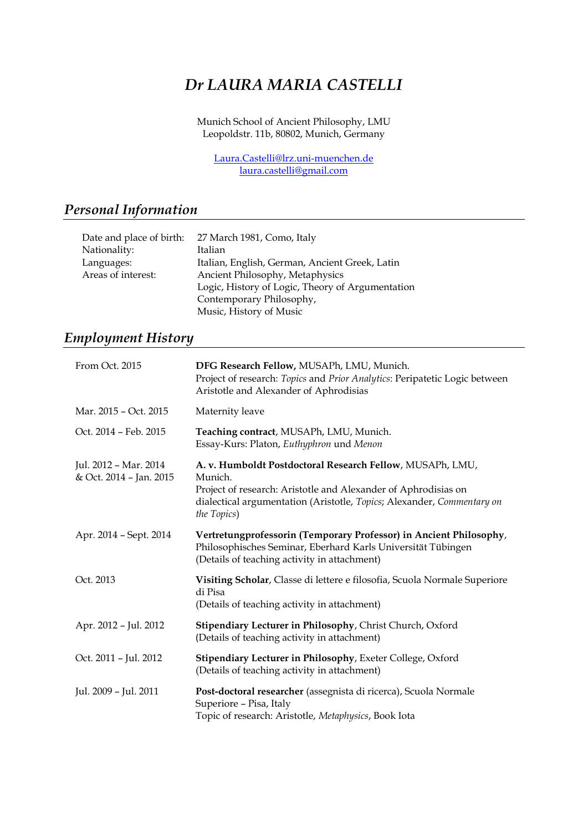# *Dr LAURA MARIA CASTELLI*

Munich School of Ancient Philosophy, LMU Leopoldstr. 11b, 80802, Munich, Germany

[Laura.Castelli@lrz.uni-muenchen.de](mailto:Laura.Castelli@lrz.uni-muenchen.de) [laura.castelli@gmail.com](mailto:laura.castelli@gmail.com)

## *Personal Information*

| Date and place of birth: | 27 March 1981, Como, Italy                       |
|--------------------------|--------------------------------------------------|
| Nationality:             | Italian                                          |
| Languages:               | Italian, English, German, Ancient Greek, Latin   |
| Areas of interest:       | Ancient Philosophy, Metaphysics                  |
|                          | Logic, History of Logic, Theory of Argumentation |
|                          | Contemporary Philosophy,                         |
|                          | Music, History of Music                          |

## *Employment History*

| From Oct. 2015                                   | DFG Research Fellow, MUSAPh, LMU, Munich.<br>Project of research: Topics and Prior Analytics: Peripatetic Logic between<br>Aristotle and Alexander of Aphrodisias                                                               |
|--------------------------------------------------|---------------------------------------------------------------------------------------------------------------------------------------------------------------------------------------------------------------------------------|
| Mar. 2015 - Oct. 2015                            | Maternity leave                                                                                                                                                                                                                 |
| Oct. 2014 - Feb. 2015                            | Teaching contract, MUSAPh, LMU, Munich.<br>Essay-Kurs: Platon, Euthyphron und Menon                                                                                                                                             |
| Jul. 2012 - Mar. 2014<br>& Oct. 2014 - Jan. 2015 | A. v. Humboldt Postdoctoral Research Fellow, MUSAPh, LMU,<br>Munich.<br>Project of research: Aristotle and Alexander of Aphrodisias on<br>dialectical argumentation (Aristotle, Topics; Alexander, Commentary on<br>the Topics) |
| Apr. 2014 - Sept. 2014                           | Vertretungprofessorin (Temporary Professor) in Ancient Philosophy,<br>Philosophisches Seminar, Eberhard Karls Universität Tübingen<br>(Details of teaching activity in attachment)                                              |
| Oct. 2013                                        | Visiting Scholar, Classe di lettere e filosofia, Scuola Normale Superiore<br>di Pisa<br>(Details of teaching activity in attachment)                                                                                            |
| Apr. 2012 - Jul. 2012                            | Stipendiary Lecturer in Philosophy, Christ Church, Oxford<br>(Details of teaching activity in attachment)                                                                                                                       |
| Oct. 2011 - Jul. 2012                            | Stipendiary Lecturer in Philosophy, Exeter College, Oxford<br>(Details of teaching activity in attachment)                                                                                                                      |
| Jul. 2009 - Jul. 2011                            | Post-doctoral researcher (assegnista di ricerca), Scuola Normale<br>Superiore - Pisa, Italy<br>Topic of research: Aristotle, Metaphysics, Book Iota                                                                             |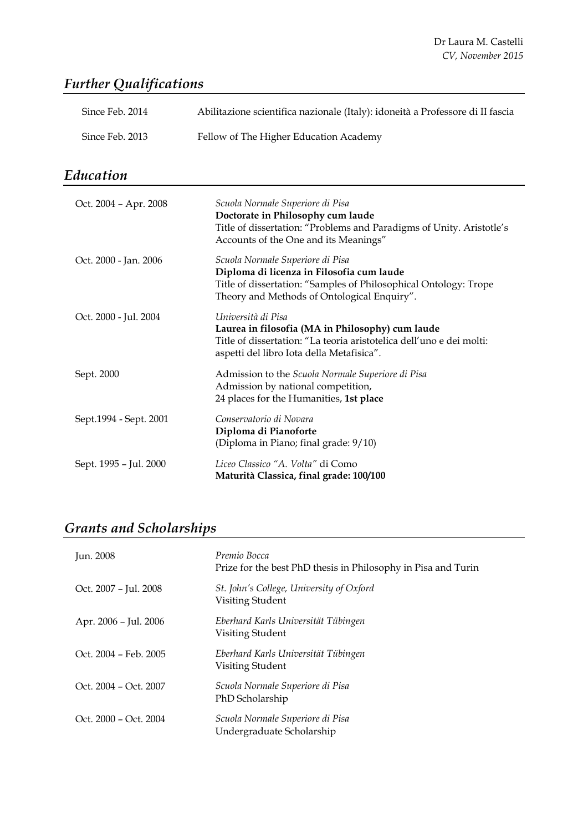## *Further Qualifications*

| Since Feb. 2014        | Abilitazione scientifica nazionale (Italy): idoneità a Professore di II fascia                                                                                                                   |
|------------------------|--------------------------------------------------------------------------------------------------------------------------------------------------------------------------------------------------|
| Since Feb. 2013        | Fellow of The Higher Education Academy                                                                                                                                                           |
| Education              |                                                                                                                                                                                                  |
| Oct. 2004 - Apr. 2008  | Scuola Normale Superiore di Pisa<br>Doctorate in Philosophy cum laude<br>Title of dissertation: "Problems and Paradigms of Unity. Aristotle's<br>Accounts of the One and its Meanings"           |
| Oct. 2000 - Jan. 2006  | Scuola Normale Superiore di Pisa<br>Diploma di licenza in Filosofia cum laude<br>Title of dissertation: "Samples of Philosophical Ontology: Trope<br>Theory and Methods of Ontological Enquiry". |
| Oct. 2000 - Jul. 2004  | Università di Pisa<br>Laurea in filosofia (MA in Philosophy) cum laude<br>Title of dissertation: "La teoria aristotelica dell'uno e dei molti:<br>aspetti del libro Iota della Metafisica".      |
| Sept. 2000             | Admission to the Scuola Normale Superiore di Pisa<br>Admission by national competition,<br>24 places for the Humanities, 1st place                                                               |
| Sept.1994 - Sept. 2001 | Conservatorio di Novara<br>Diploma di Pianoforte<br>(Diploma in Piano; final grade: 9/10)                                                                                                        |
| Sept. 1995 - Jul. 2000 | Liceo Classico "A. Volta" di Como<br>Maturità Classica, final grade: 100/100                                                                                                                     |

# *Grants and Scholarships*

| Jun. 2008             | Premio Bocca<br>Prize for the best PhD thesis in Philosophy in Pisa and Turin |
|-----------------------|-------------------------------------------------------------------------------|
| Oct. 2007 – Jul. 2008 | St. John's College, University of Oxford<br>Visiting Student                  |
| Apr. 2006 - Jul. 2006 | Eberhard Karls Universität Tübingen<br>Visiting Student                       |
| Oct. 2004 – Feb. 2005 | Eberhard Karls Universität Tübingen<br>Visiting Student                       |
| Oct. 2004 – Oct. 2007 | Scuola Normale Superiore di Pisa<br>PhD Scholarship                           |
| Oct. 2000 – Oct. 2004 | Scuola Normale Superiore di Pisa<br>Undergraduate Scholarship                 |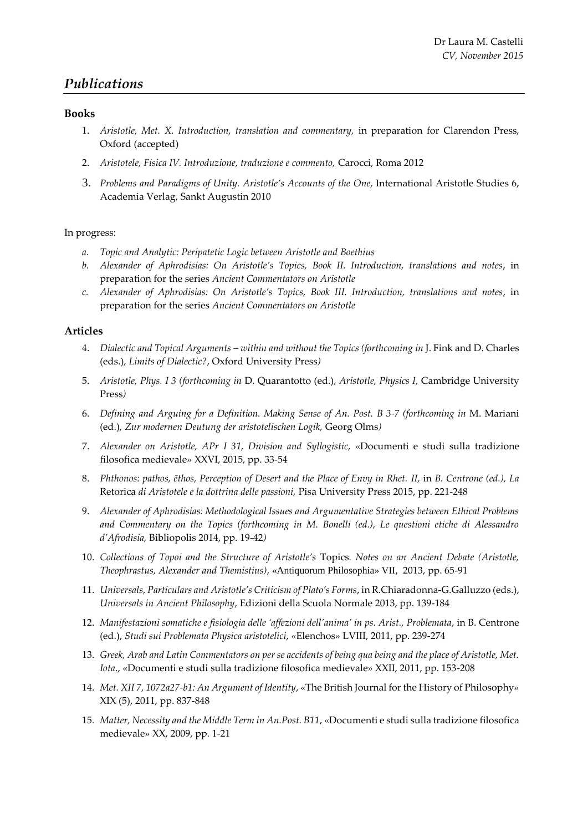## *Publications*

#### **Books**

- 1. *Aristotle, Met. X. Introduction, translation and commentary,* in preparation for Clarendon Press, Oxford (accepted)
- 2. *Aristotele, Fisica IV. Introduzione, traduzione e commento,* Carocci, Roma 2012
- 3. *Problems and Paradigms of Unity. Aristotle's Accounts of the One*, International Aristotle Studies 6, Academia Verlag, Sankt Augustin 2010

#### In progress:

- *a. Topic and Analytic: Peripatetic Logic between Aristotle and Boethius*
- *b. Alexander of Aphrodisias: On Aristotle's Topics, Book II. Introduction, translations and notes*, in preparation for the series *Ancient Commentators on Aristotle*
- *c. Alexander of Aphrodisias: On Aristotle's Topics, Book III. Introduction, translations and notes*, in preparation for the series *Ancient Commentators on Aristotle*

#### **Articles**

- 4. *Dialectic and Topical Arguments – within and without the Topics (forthcoming in* J. Fink and D. Charles (eds.)*, Limits of Dialectic?*, Oxford University Press*)*
- 5. *Aristotle, Phys. I 3 (forthcoming in* D. Quarantotto (ed.)*, Aristotle, Physics I,* Cambridge University Press*)*
- 6. *Defining and Arguing for a Definition. Making Sense of An. Post. B 3-7 (forthcoming in* M. Mariani (ed.)*, Zur modernen Deutung der aristotelischen Logik,* Georg Olms*)*
- 7. *Alexander on Aristotle, APr I 31, Division and Syllogistic,* «Documenti e studi sulla tradizione filosofica medievale» XXVI, 2015, pp. 33-54
- 8. *Phthonos: pathos, ēthos, Perception of Desert and the Place of Envy in Rhet. II,* in *B. Centrone (ed.), La*  Retorica *di Aristotele e la dottrina delle passioni,* Pisa University Press 2015, pp. 221-248
- 9. *Alexander of Aphrodisias: Methodological Issues and Argumentative Strategies between Ethical Problems and Commentary on the Topics (forthcoming in M. Bonelli (ed.), Le questioni etiche di Alessandro d'Afrodisia,* Bibliopolis 2014, pp. 19-42*)*
- 10. *Collections of Topoi and the Structure of Aristotle's* Τopics*. Notes on an Ancient Debate (Aristotle, Theophrastus, Alexander and Themistius)*, «Antiquorum Philosophia» VII, 2013, pp. 65-91
- 11. *Universals, Particulars and Aristotle's Criticism of Plato's Forms*, in R.Chiaradonna-G.Galluzzo (eds.), *Universals in Ancient Philosophy*, Edizioni della Scuola Normale 2013, pp. 139-184
- 12. *Manifestazioni somatiche e fisiologia delle 'affezioni dell'anima' in ps. Arist., Problemata*, in B. Centrone (ed.), *Studi sui Problemata Physica aristotelici*, «Elenchos» LVIII, 2011, pp. 239-274
- 13. *Greek, Arab and Latin Commentators on per se accidents of being qua being and the place of Aristotle, Met. Iota*., «Documenti e studi sulla tradizione filosofica medievale» XXII, 2011, pp. 153-208
- 14. *Met. XII 7, 1072a27-b1: An Argument of Identity*, «The British Journal for the History of Philosophy» XIX (5), 2011, pp. 837-848
- 15. *Matter, Necessity and the Middle Term in An.Post. B11*, «Documenti e studi sulla tradizione filosofica medievale» XX, 2009, pp. 1-21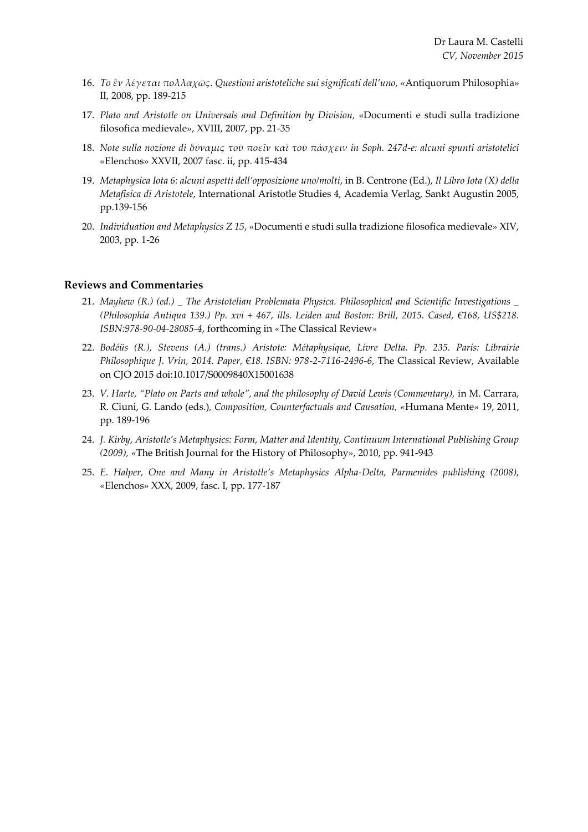- 16. *Τὸ ἓν λέγεται πολλαχῶς. Questioni aristoteliche sui significati dell'uno,* «Antiquorum Philosophia» II, 2008, pp. 189-215
- 17. *Plato and Aristotle on Universals and Definition by Division,* «Documenti e studi sulla tradizione filosofica medievale», XVIII, 2007, pp. 21-35
- 18. *Note sulla nozione di δύναμις τοῦ ποεῖν καὶ τοῦ πάσχειν in Soph. 247d-e: alcuni spunti aristotelici* «Elenchos» XXVII, 2007 fasc. ii, pp. 415-434
- 19. *Metaphysica Iota 6: alcuni aspetti dell'opposizione uno/molti*, in B. Centrone (Ed.), *Il Libro Iota (X) della Metafisica di Aristotele*, International Aristotle Studies 4, Academia Verlag, Sankt Augustin 2005, pp.139-156
- 20. *Individuation and Metaphysics Z 15*, «Documenti e studi sulla tradizione filosofica medievale» XIV, 2003, pp. 1-26

#### **Reviews and Commentaries**

- 21. *Mayhew (R.) (ed.) \_ The Aristotelian Problemata Physica. Philosophical and Scientific Investigations \_ (Philosophia Antiqua 139.) Pp. xvi + 467, ills. Leiden and Boston: Brill, 2015. Cased, €168, US\$218. ISBN:978-90-04-28085-4*, forthcoming in *«*The Classical Review*»*
- 22. *Bodéüs (R.), Stevens (A.) (trans.) Aristote: Métaphysique, Livre Delta. Pp. 235. Paris: Librairie Philosophique J. Vrin, 2014. Paper, €18. ISBN: 978-2-7116-2496-6*, The Classical Review, Available on CJO 2015 doi:10.1017/S0009840X15001638
- 23. *V. Harte, "Plato on Parts and whole", and the philosophy of David Lewis (Commentary), in M. Carrara,* R. Ciuni, G. Lando (eds.)*, Composition, Counterfactuals and Causation, «*Humana Mente*»* 19, 2011, pp. 189-196
- 24. *J. Kirby, Aristotle's Metaphysics: Form, Matter and Identity, Continuum International Publishing Group (2009), «*The British Journal for the History of Philosophy», 2010, pp. 941-943
- 25. *E. Halper, One and Many in Aristotle's Metaphysics Alpha-Delta, Parmenides publishing (2008), «*Elenchos» XXX, 2009, fasc. I, pp. 177-187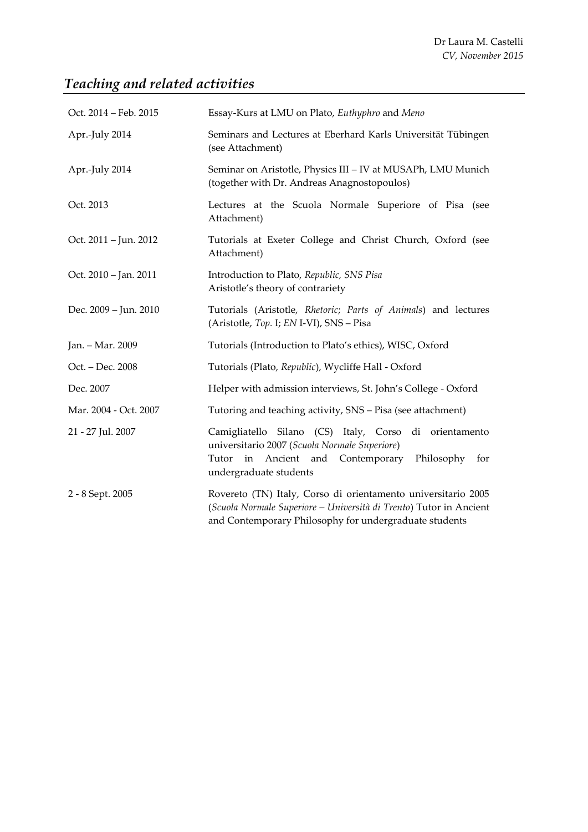# *Teaching and related activities*

| Oct. 2014 - Feb. 2015 | Essay-Kurs at LMU on Plato, Euthyphro and Meno                                                                                                                                                |
|-----------------------|-----------------------------------------------------------------------------------------------------------------------------------------------------------------------------------------------|
| Apr.-July 2014        | Seminars and Lectures at Eberhard Karls Universität Tübingen<br>(see Attachment)                                                                                                              |
| Apr.-July 2014        | Seminar on Aristotle, Physics III - IV at MUSAPh, LMU Munich<br>(together with Dr. Andreas Anagnostopoulos)                                                                                   |
| Oct. 2013             | Lectures at the Scuola Normale Superiore of Pisa (see<br>Attachment)                                                                                                                          |
| Oct. 2011 – Jun. 2012 | Tutorials at Exeter College and Christ Church, Oxford (see<br>Attachment)                                                                                                                     |
| Oct. 2010 - Jan. 2011 | Introduction to Plato, Republic, SNS Pisa<br>Aristotle's theory of contrariety                                                                                                                |
| Dec. 2009 - Jun. 2010 | Tutorials (Aristotle, Rhetoric; Parts of Animals) and lectures<br>(Aristotle, Top. I; EN I-VI), SNS - Pisa                                                                                    |
| Jan. - Mar. 2009      | Tutorials (Introduction to Plato's ethics), WISC, Oxford                                                                                                                                      |
| Oct. – Dec. 2008      | Tutorials (Plato, Republic), Wycliffe Hall - Oxford                                                                                                                                           |
| Dec. 2007             | Helper with admission interviews, St. John's College - Oxford                                                                                                                                 |
| Mar. 2004 - Oct. 2007 | Tutoring and teaching activity, SNS - Pisa (see attachment)                                                                                                                                   |
| 21 - 27 Jul. 2007     | Camigliatello Silano (CS) Italy, Corso di orientamento<br>universitario 2007 (Scuola Normale Superiore)<br>in Ancient and Contemporary Philosophy<br>Tutor<br>for<br>undergraduate students   |
| 2 - 8 Sept. 2005      | Rovereto (TN) Italy, Corso di orientamento universitario 2005<br>(Scuola Normale Superiore - Università di Trento) Tutor in Ancient<br>and Contemporary Philosophy for undergraduate students |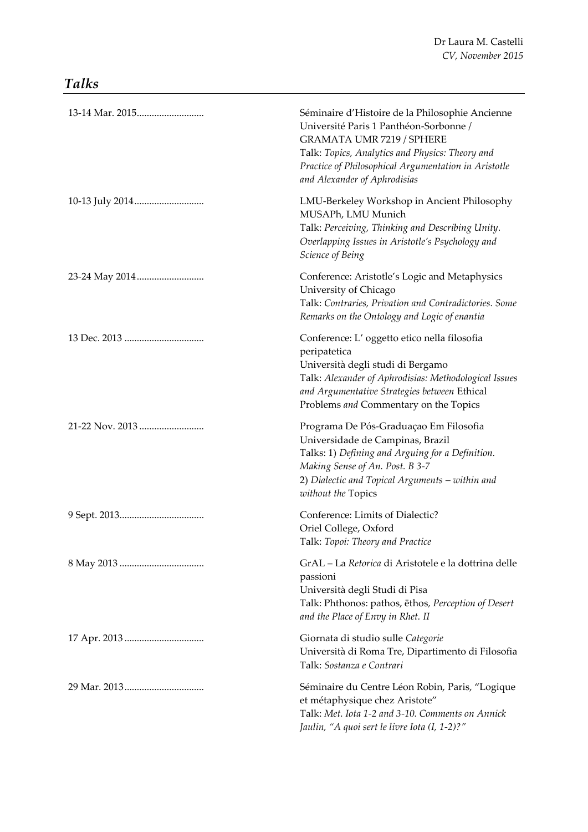## *Talks*

| Séminaire d'Histoire de la Philosophie Ancienne<br>Université Paris 1 Panthéon-Sorbonne /<br>GRAMATA UMR 7219 / SPHERE<br>Talk: Topics, Analytics and Physics: Theory and<br>Practice of Philosophical Argumentation in Aristotle<br>and Alexander of Aphrodisias |
|-------------------------------------------------------------------------------------------------------------------------------------------------------------------------------------------------------------------------------------------------------------------|
| LMU-Berkeley Workshop in Ancient Philosophy<br>MUSAPh, LMU Munich<br>Talk: Perceiving, Thinking and Describing Unity.<br>Overlapping Issues in Aristotle's Psychology and<br>Science of Being                                                                     |
| Conference: Aristotle's Logic and Metaphysics<br>University of Chicago<br>Talk: Contraries, Privation and Contradictories. Some<br>Remarks on the Ontology and Logic of enantia                                                                                   |
| Conference: L' oggetto etico nella filosofia<br>peripatetica<br>Università degli studi di Bergamo<br>Talk: Alexander of Aphrodisias: Methodological Issues<br>and Argumentative Strategies between Ethical<br>Problems and Commentary on the Topics               |
| Programa De Pós-Graduaçao Em Filosofia<br>Universidade de Campinas, Brazil<br>Talks: 1) Defining and Arguing for a Definition.<br>Making Sense of An. Post. B 3-7<br>2) Dialectic and Topical Arguments - within and<br>without the Topics                        |
| Conference: Limits of Dialectic?<br>Oriel College, Oxford<br>Talk: Topoi: Theory and Practice                                                                                                                                                                     |
| GrAL - La Retorica di Aristotele e la dottrina delle<br>passioni<br>Università degli Studi di Pisa<br>Talk: Phthonos: pathos, ethos, Perception of Desert<br>and the Place of Envy in Rhet. II                                                                    |
| Giornata di studio sulle Categorie<br>Università di Roma Tre, Dipartimento di Filosofia<br>Talk: Sostanza e Contrari                                                                                                                                              |
| Séminaire du Centre Léon Robin, Paris, "Logique<br>et métaphysique chez Aristote"<br>Talk: Met. Iota 1-2 and 3-10. Comments on Annick<br>Jaulin, "A quoi sert le livre Iota (I, 1-2)?"                                                                            |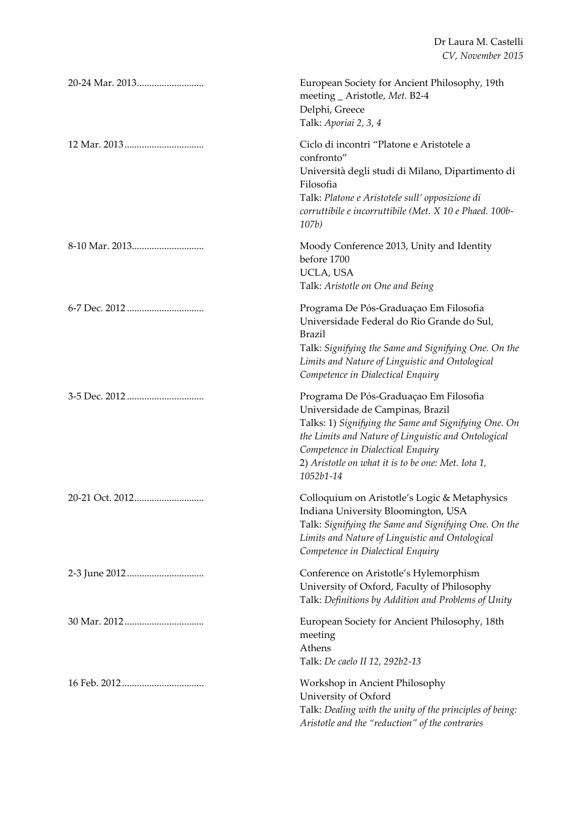| European Society for Ancient Philosophy, 19th<br>meeting _ Aristotle, Met. B2-4<br>Delphi, Greece<br>Talk: Aporiai 2, 3, 4                                                                                                                                                                        |
|---------------------------------------------------------------------------------------------------------------------------------------------------------------------------------------------------------------------------------------------------------------------------------------------------|
| Ciclo di incontri "Platone e Aristotele a<br>confronto"<br>Università degli studi di Milano, Dipartimento di<br>Filosofia<br>Talk: Platone e Aristotele sull' opposizione di<br>corruttibile e incorruttibile (Met. X 10 e Phaed. 100b-<br>107b)                                                  |
| Moody Conference 2013, Unity and Identity<br>before 1700<br>UCLA, USA<br>Talk: Aristotle on One and Being                                                                                                                                                                                         |
| Programa De Pós-Graduaçao Em Filosofia<br>Universidade Federal do Rio Grande do Sul,<br><b>Brazil</b><br>Talk: Signifying the Same and Signifying One. On the<br>Limits and Nature of Linguistic and Ontological<br>Competence in Dialectical Enquiry                                             |
| Programa De Pós-Graduaçao Em Filosofia<br>Universidade de Campinas, Brazil<br>Talks: 1) Signifying the Same and Signifying One. On<br>the Limits and Nature of Linguistic and Ontological<br>Competence in Dialectical Enquiry<br>2) Aristotle on what it is to be one: Met. Iota 1,<br>1052b1-14 |
| Colloquium on Aristotle's Logic & Metaphysics<br>Indiana University Bloomington, USA<br>Talk: Signifying the Same and Signifying One. On the<br>Limits and Nature of Linguistic and Ontological<br>Competence in Dialectical Enquiry                                                              |
| Conference on Aristotle's Hylemorphism<br>University of Oxford, Faculty of Philosophy<br>Talk: Definitions by Addition and Problems of Unity                                                                                                                                                      |
| European Society for Ancient Philosophy, 18th<br>meeting<br>Athens<br>Talk: De caelo II 12, 292b2-13                                                                                                                                                                                              |
| Workshop in Ancient Philosophy<br>University of Oxford<br>Talk: Dealing with the unity of the principles of being:<br>Aristotle and the "reduction" of the contraries                                                                                                                             |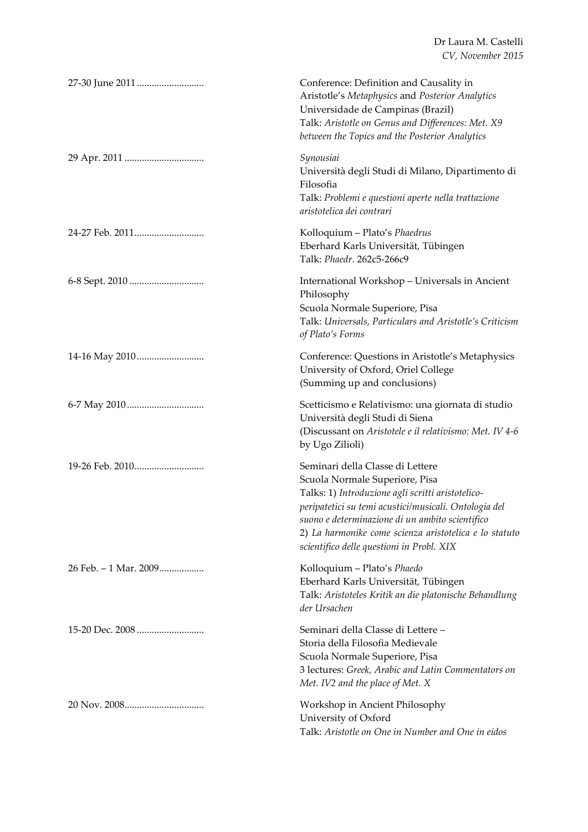Dr Laura M. Castelli *CV, November 2015*

| 27-30 June 2011       | Conference: Definition and Causality in<br>Aristotle's Metaphysics and Posterior Analytics<br>Universidade de Campinas (Brazil)<br>Talk: Aristotle on Genus and Differences: Met. X9<br>between the Topics and the Posterior Analytics                                                                                                     |
|-----------------------|--------------------------------------------------------------------------------------------------------------------------------------------------------------------------------------------------------------------------------------------------------------------------------------------------------------------------------------------|
|                       | Synousiai<br>Università degli Studi di Milano, Dipartimento di<br>Filosofia<br>Talk: Problemi e questioni aperte nella trattazione<br>aristotelica dei contrari                                                                                                                                                                            |
|                       | Kolloquium - Plato's Phaedrus<br>Eberhard Karls Universität, Tübingen<br>Talk: Phaedr. 262c5-266c9                                                                                                                                                                                                                                         |
|                       | International Workshop - Universals in Ancient<br>Philosophy<br>Scuola Normale Superiore, Pisa<br>Talk: Universals, Particulars and Aristotle's Criticism<br>of Plato's Forms                                                                                                                                                              |
| 14-16 May 2010        | Conference: Questions in Aristotle's Metaphysics<br>University of Oxford, Oriel College<br>(Summing up and conclusions)                                                                                                                                                                                                                    |
|                       | Scetticismo e Relativismo: una giornata di studio<br>Università degli Studi di Siena<br>(Discussant on Aristotele e il relativismo: Met. IV 4-6<br>by Ugo Zilioli)                                                                                                                                                                         |
|                       | Seminari della Classe di Lettere<br>Scuola Normale Superiore, Pisa<br>Talks: 1) Introduzione agli scritti aristotelico-<br>peripatetici su temi acustici/musicali. Ontologia del<br>suono e determinazione di un ambito scientifico<br>2) La harmonike come scienza aristotelica e lo statuto<br>scientifico delle questioni in Probl. XIX |
| 26 Feb. - 1 Mar. 2009 | Kolloquium - Plato's Phaedo<br>Eberhard Karls Universität, Tübingen<br>Talk: Aristoteles Kritik an die platonische Behandlung<br>der Ursachen                                                                                                                                                                                              |
|                       | Seminari della Classe di Lettere -<br>Storia della Filosofia Medievale<br>Scuola Normale Superiore, Pisa<br>3 lectures: Greek, Arabic and Latin Commentators on<br>Met. IV2 and the place of Met. X                                                                                                                                        |
|                       | Workshop in Ancient Philosophy<br>University of Oxford<br>Talk: Aristotle on One in Number and One in eidos                                                                                                                                                                                                                                |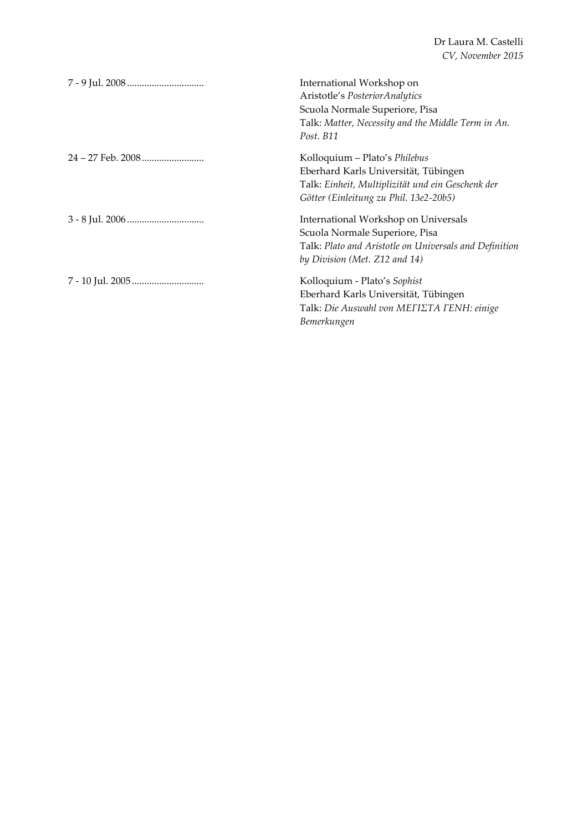Dr Laura M. Castelli *CV, November 2015*

| International Workshop on<br>Aristotle's Posterior Analytics<br>Scuola Normale Superiore, Pisa<br>Talk: Matter, Necessity and the Middle Term in An.<br>Post. B11    |
|----------------------------------------------------------------------------------------------------------------------------------------------------------------------|
| Kolloquium – Plato's Philebus<br>Eberhard Karls Universität, Tübingen<br>Talk: Einheit, Multiplizität und ein Geschenk der<br>Götter (Einleitung zu Phil. 13e2-20b5) |
| International Workshop on Universals<br>Scuola Normale Superiore, Pisa<br>Talk: Plato and Aristotle on Universals and Definition<br>by Division (Met. Z12 and 14)    |
| Kolloquium - Plato's Sophist<br>Eberhard Karls Universität, Tübingen<br>Talk: Die Auswahl von METIETA FENH: einige<br>Bemerkungen                                    |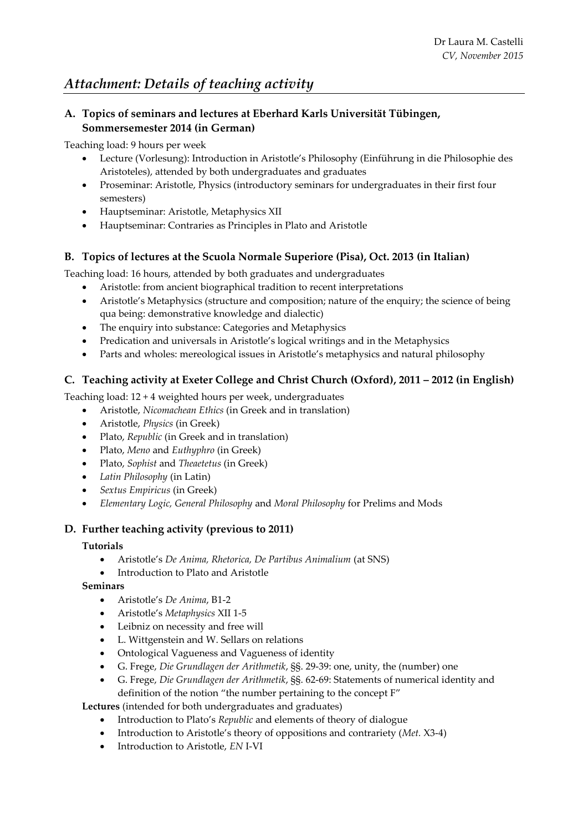### **A. Topics of seminars and lectures at Eberhard Karls Universität Tübingen, Sommersemester 2014 (in German)**

Teaching load: 9 hours per week

- Lecture (Vorlesung): Introduction in Aristotle's Philosophy (Einführung in die Philosophie des Aristoteles), attended by both undergraduates and graduates
- Proseminar: Aristotle, Physics (introductory seminars for undergraduates in their first four semesters)
- Hauptseminar: Aristotle, Metaphysics XII
- Hauptseminar: Contraries as Principles in Plato and Aristotle

## **B. Topics of lectures at the Scuola Normale Superiore (Pisa), Oct. 2013 (in Italian)**

Teaching load: 16 hours, attended by both graduates and undergraduates

- Aristotle: from ancient biographical tradition to recent interpretations
- Aristotle's Metaphysics (structure and composition; nature of the enquiry; the science of being qua being: demonstrative knowledge and dialectic)
- The enquiry into substance: Categories and Metaphysics
- Predication and universals in Aristotle's logical writings and in the Metaphysics
- Parts and wholes: mereological issues in Aristotle's metaphysics and natural philosophy

## **C. Teaching activity at Exeter College and Christ Church (Oxford), 2011 – 2012 (in English)**

Teaching load: 12 + 4 weighted hours per week, undergraduates

- Aristotle, *Nicomachean Ethics* (in Greek and in translation)
- Aristotle, *Physics* (in Greek)
- Plato, *Republic* (in Greek and in translation)
- Plato, *Meno* and *Euthyphro* (in Greek)
- Plato, *Sophist* and *Theaetetus* (in Greek)
- *Latin Philosophy* (in Latin)
- *Sextus Empiricus* (in Greek)
- *Elementary Logic, General Philosophy* and *Moral Philosophy* for Prelims and Mods

## **D. Further teaching activity (previous to 2011)**

### **Tutorials**

- Aristotle's *De Anima, Rhetorica, De Partibus Animalium* (at SNS)
- Introduction to Plato and Aristotle

### **Seminars**

- Aristotle's *De Anima*, B1-2
- Aristotle's *Metaphysics* XII 1-5
- Leibniz on necessity and free will
- L. Wittgenstein and W. Sellars on relations
- Ontological Vagueness and Vagueness of identity
- G. Frege, *Die Grundlagen der Arithmetik*, §§. 29-39: one, unity, the (number) one
- G. Frege, *Die Grundlagen der Arithmetik*, §§. 62-69: Statements of numerical identity and definition of the notion "the number pertaining to the concept F"

**Lectures** (intended for both undergraduates and graduates)

- Introduction to Plato's *Republic* and elements of theory of dialogue
- Introduction to Aristotle's theory of oppositions and contrariety (*Met.* X3-4)
- Introduction to Aristotle, *EN* I-VI